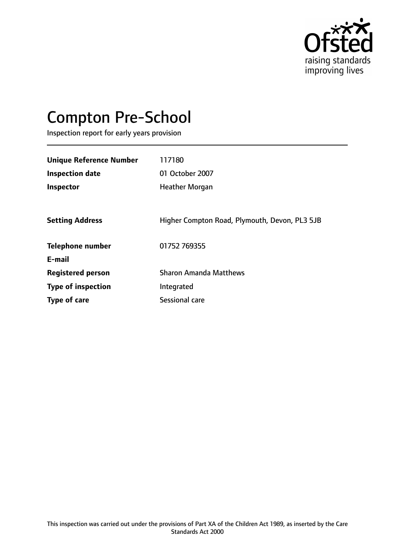

# Compton Pre-School

Inspection report for early years provision

| <b>Unique Reference Number</b><br><b>Inspection date</b> | 117180<br>01 October 2007                     |
|----------------------------------------------------------|-----------------------------------------------|
| Inspector                                                | <b>Heather Morgan</b>                         |
| <b>Setting Address</b>                                   | Higher Compton Road, Plymouth, Devon, PL3 5JB |
| <b>Telephone number</b>                                  | 01752 769355                                  |
| E-mail                                                   |                                               |
| <b>Registered person</b>                                 | <b>Sharon Amanda Matthews</b>                 |
| <b>Type of inspection</b>                                | Integrated                                    |
| Type of care                                             | Sessional care                                |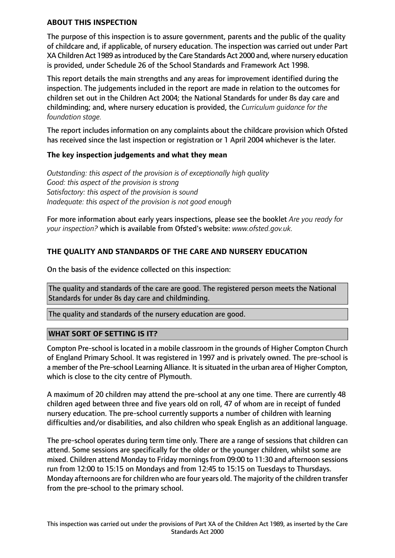#### **ABOUT THIS INSPECTION**

The purpose of this inspection is to assure government, parents and the public of the quality of childcare and, if applicable, of nursery education. The inspection was carried out under Part XA Children Act 1989 asintroduced by the Care Standards Act 2000 and, where nursery education is provided, under Schedule 26 of the School Standards and Framework Act 1998.

This report details the main strengths and any areas for improvement identified during the inspection. The judgements included in the report are made in relation to the outcomes for children set out in the Children Act 2004; the National Standards for under 8s day care and childminding; and, where nursery education is provided, the *Curriculum guidance for the foundation stage.*

The report includes information on any complaints about the childcare provision which Ofsted has received since the last inspection or registration or 1 April 2004 whichever is the later.

#### **The key inspection judgements and what they mean**

*Outstanding: this aspect of the provision is of exceptionally high quality Good: this aspect of the provision is strong Satisfactory: this aspect of the provision is sound Inadequate: this aspect of the provision is not good enough*

For more information about early years inspections, please see the booklet *Are you ready for your inspection?* which is available from Ofsted's website: *www.ofsted.gov.uk.*

# **THE QUALITY AND STANDARDS OF THE CARE AND NURSERY EDUCATION**

On the basis of the evidence collected on this inspection:

The quality and standards of the care are good. The registered person meets the National Standards for under 8s day care and childminding.

The quality and standards of the nursery education are good.

#### **WHAT SORT OF SETTING IS IT?**

Compton Pre-school is located in a mobile classroom in the grounds of Higher Compton Church of England Primary School. It was registered in 1997 and is privately owned. The pre-school is a member of the Pre-school Learning Alliance. It is situated in the urban area of Higher Compton, which is close to the city centre of Plymouth.

A maximum of 20 children may attend the pre-school at any one time. There are currently 48 children aged between three and five years old on roll, 47 of whom are in receipt of funded nursery education. The pre-school currently supports a number of children with learning difficulties and/or disabilities, and also children who speak English as an additional language.

The pre-school operates during term time only. There are a range of sessions that children can attend. Some sessions are specifically for the older or the younger children, whilst some are mixed. Children attend Monday to Friday mornings from 09:00 to 11:30 and afternoon sessions run from 12:00 to 15:15 on Mondays and from 12:45 to 15:15 on Tuesdays to Thursdays. Monday afternoons are for children who are four years old. The majority of the children transfer from the pre-school to the primary school.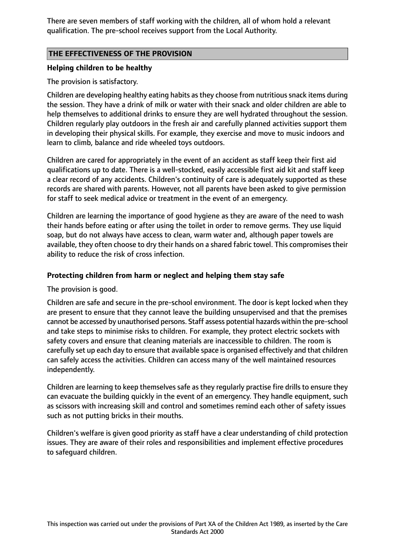There are seven members of staff working with the children, all of whom hold a relevant qualification. The pre-school receives support from the Local Authority.

# **THE EFFECTIVENESS OF THE PROVISION**

## **Helping children to be healthy**

The provision is satisfactory.

Children are developing healthy eating habits as they choose from nutritious snack items during the session. They have a drink of milk or water with their snack and older children are able to help themselves to additional drinks to ensure they are well hydrated throughout the session. Children regularly play outdoors in the fresh air and carefully planned activities support them in developing their physical skills. For example, they exercise and move to music indoors and learn to climb, balance and ride wheeled toys outdoors.

Children are cared for appropriately in the event of an accident as staff keep their first aid qualifications up to date. There is a well-stocked, easily accessible first aid kit and staff keep a clear record of any accidents. Children's continuity of care is adequately supported as these records are shared with parents. However, not all parents have been asked to give permission for staff to seek medical advice or treatment in the event of an emergency.

Children are learning the importance of good hygiene as they are aware of the need to wash their hands before eating or after using the toilet in order to remove germs. They use liquid soap, but do not always have access to clean, warm water and, although paper towels are available, they often choose to dry their hands on a shared fabric towel. This compromises their ability to reduce the risk of cross infection.

# **Protecting children from harm or neglect and helping them stay safe**

The provision is good.

Children are safe and secure in the pre-school environment. The door is kept locked when they are present to ensure that they cannot leave the building unsupervised and that the premises cannot be accessed by unauthorised persons. Staff assess potential hazards within the pre-school and take steps to minimise risks to children. For example, they protect electric sockets with safety covers and ensure that cleaning materials are inaccessible to children. The room is carefully set up each day to ensure that available space is organised effectively and that children can safely access the activities. Children can access many of the well maintained resources independently.

Children are learning to keep themselves safe as they regularly practise fire drills to ensure they can evacuate the building quickly in the event of an emergency. They handle equipment, such as scissors with increasing skill and control and sometimes remind each other of safety issues such as not putting bricks in their mouths.

Children's welfare is given good priority as staff have a clear understanding of child protection issues. They are aware of their roles and responsibilities and implement effective procedures to safeguard children.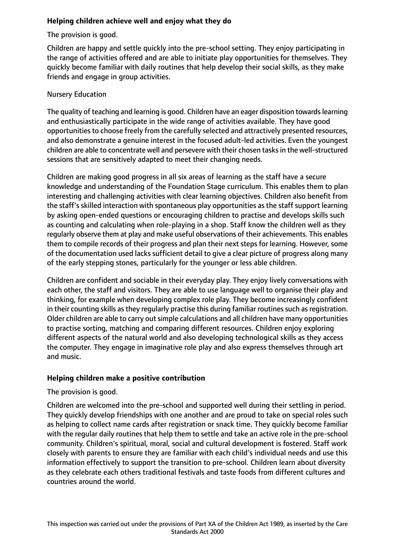# **Helping children achieve well and enjoy what they do**

The provision is good.

Children are happy and settle quickly into the pre-school setting. They enjoy participating in the range of activities offered and are able to initiate play opportunities for themselves. They quickly become familiar with daily routines that help develop their social skills, as they make friends and engage in group activities.

## Nursery Education

The quality of teaching and learning is good. Children have an eager disposition towardslearning and enthusiastically participate in the wide range of activities available. They have good opportunities to choose freely from the carefully selected and attractively presented resources, and also demonstrate a genuine interest in the focused adult-led activities. Even the youngest children are able to concentrate well and persevere with their chosen tasks in the well-structured sessions that are sensitively adapted to meet their changing needs.

Children are making good progress in all six areas of learning as the staff have a secure knowledge and understanding of the Foundation Stage curriculum. This enables them to plan interesting and challenging activities with clear learning objectives. Children also benefit from the staff's skilled interaction with spontaneous play opportunities as the staff support learning by asking open-ended questions or encouraging children to practise and develops skills such as counting and calculating when role-playing in a shop. Staff know the children well as they regularly observe them at play and make useful observations of their achievements. This enables them to compile records of their progress and plan their next steps for learning. However, some of the documentation used lacks sufficient detail to give a clear picture of progress along many of the early stepping stones, particularly for the younger or less able children.

Children are confident and sociable in their everyday play. They enjoy lively conversations with each other, the staff and visitors. They are able to use language well to organise their play and thinking, for example when developing complex role play. They become increasingly confident in their counting skills as they regularly practise this during familiar routines such as registration. Older children are able to carry out simple calculations and all children have many opportunities to practise sorting, matching and comparing different resources. Children enjoy exploring different aspects of the natural world and also developing technological skills as they access the computer. They engage in imaginative role play and also express themselves through art and music.

### **Helping children make a positive contribution**

The provision is good.

Children are welcomed into the pre-school and supported well during their settling in period. They quickly develop friendships with one another and are proud to take on special roles such as helping to collect name cards after registration or snack time. They quickly become familiar with the regular daily routines that help them to settle and take an active role in the pre-school community. Children's spiritual, moral, social and cultural development is fostered. Staff work closely with parents to ensure they are familiar with each child's individual needs and use this information effectively to support the transition to pre-school. Children learn about diversity as they celebrate each others traditional festivals and taste foods from different cultures and countries around the world.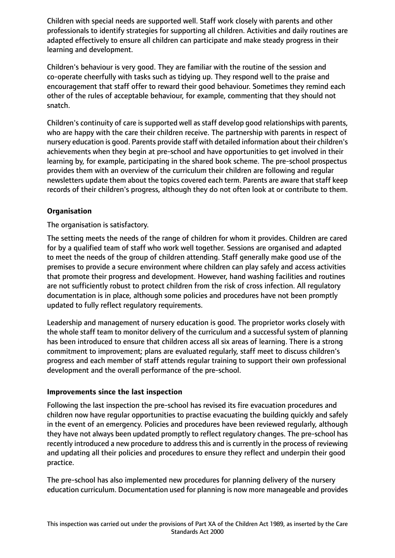Children with special needs are supported well. Staff work closely with parents and other professionals to identify strategies for supporting all children. Activities and daily routines are adapted effectively to ensure all children can participate and make steady progress in their learning and development.

Children's behaviour is very good. They are familiar with the routine of the session and co-operate cheerfully with tasks such as tidying up. They respond well to the praise and encouragement that staff offer to reward their good behaviour. Sometimes they remind each other of the rules of acceptable behaviour, for example, commenting that they should not snatch.

Children's continuity of care is supported well as staff develop good relationships with parents, who are happy with the care their children receive. The partnership with parents in respect of nursery education is good. Parents provide staff with detailed information about their children's achievements when they begin at pre-school and have opportunities to get involved in their learning by, for example, participating in the shared book scheme. The pre-school prospectus provides them with an overview of the curriculum their children are following and regular newsletters update them about the topics covered each term. Parents are aware that staff keep records of their children's progress, although they do not often look at or contribute to them.

# **Organisation**

The organisation is satisfactory.

The setting meets the needs of the range of children for whom it provides. Children are cared for by a qualified team of staff who work well together. Sessions are organised and adapted to meet the needs of the group of children attending. Staff generally make good use of the premises to provide a secure environment where children can play safely and access activities that promote their progress and development. However, hand washing facilities and routines are not sufficiently robust to protect children from the risk of cross infection. All regulatory documentation is in place, although some policies and procedures have not been promptly updated to fully reflect regulatory requirements.

Leadership and management of nursery education is good. The proprietor works closely with the whole staff team to monitor delivery of the curriculum and a successful system of planning has been introduced to ensure that children access all six areas of learning. There is a strong commitment to improvement; plans are evaluated regularly, staff meet to discuss children's progress and each member of staff attends regular training to support their own professional development and the overall performance of the pre-school.

#### **Improvements since the last inspection**

Following the last inspection the pre-school has revised its fire evacuation procedures and children now have regular opportunities to practise evacuating the building quickly and safely in the event of an emergency. Policies and procedures have been reviewed regularly, although they have not always been updated promptly to reflect regulatory changes. The pre-school has recently introduced a new procedure to address this and is currently in the process of reviewing and updating all their policies and procedures to ensure they reflect and underpin their good practice.

The pre-school has also implemented new procedures for planning delivery of the nursery education curriculum. Documentation used for planning is now more manageable and provides